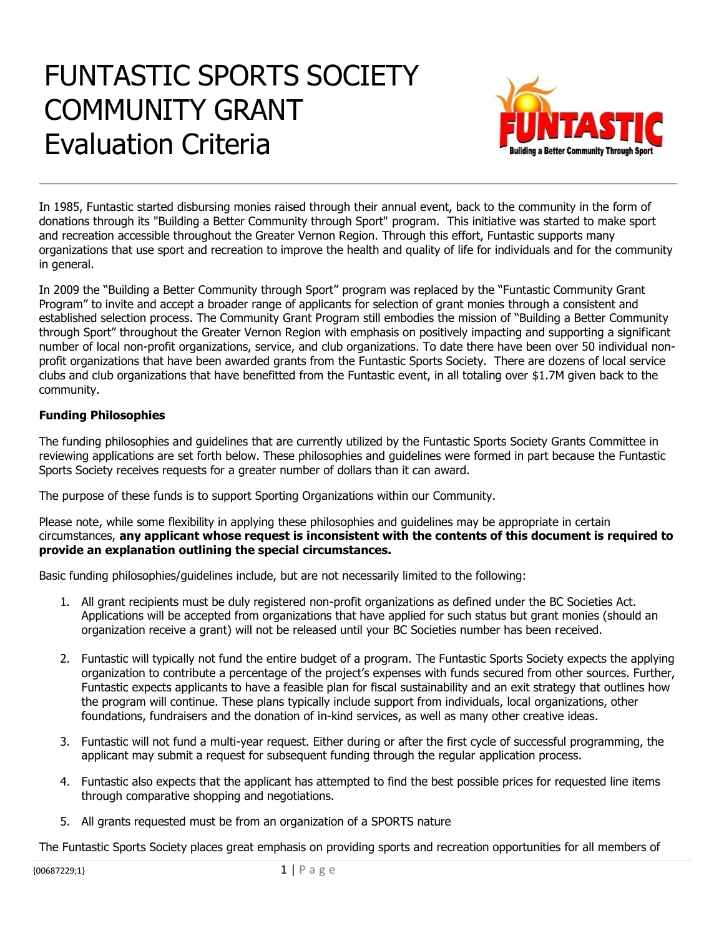# FUNTASTIC SPORTS SOCIETY COMMUNITY GRANT Evaluation Criteria



In 1985, Funtastic started disbursing monies raised through their annual event, back to the community in the form of donations through its "Building a Better Community through Sport" program. This initiative was started to make sport and recreation accessible throughout the Greater Vernon Region. Through this effort, Funtastic supports many organizations that use sport and recreation to improve the health and quality of life for individuals and for the community in general.

In 2009 the "Building a Better Community through Sport" program was replaced by the "Funtastic Community Grant Program" to invite and accept a broader range of applicants for selection of grant monies through a consistent and established selection process. The Community Grant Program still embodies the mission of "Building a Better Community through Sport" throughout the Greater Vernon Region with emphasis on positively impacting and supporting a significant number of local non-profit organizations, service, and club organizations. To date there have been over 50 individual nonprofit organizations that have been awarded grants from the Funtastic Sports Society. There are dozens of local service clubs and club organizations that have benefitted from the Funtastic event, in all totaling over \$1.7M given back to the community.

# **Funding Philosophies**

The funding philosophies and guidelines that are currently utilized by the Funtastic Sports Society Grants Committee in reviewing applications are set forth below. These philosophies and guidelines were formed in part because the Funtastic Sports Society receives requests for a greater number of dollars than it can award.

The purpose of these funds is to support Sporting Organizations within our Community.

Please note, while some flexibility in applying these philosophies and guidelines may be appropriate in certain circumstances, **any applicant whose request is inconsistent with the contents of this document is required to provide an explanation outlining the special circumstances.** 

Basic funding philosophies/guidelines include, but are not necessarily limited to the following:

- 1. All grant recipients must be duly registered non-profit organizations as defined under the BC Societies Act. Applications will be accepted from organizations that have applied for such status but grant monies (should an organization receive a grant) will not be released until your BC Societies number has been received.
- 2. Funtastic will typically not fund the entire budget of a program. The Funtastic Sports Society expects the applying organization to contribute a percentage of the project's expenses with funds secured from other sources. Further, Funtastic expects applicants to have a feasible plan for fiscal sustainability and an exit strategy that outlines how the program will continue. These plans typically include support from individuals, local organizations, other foundations, fundraisers and the donation of in-kind services, as well as many other creative ideas.
- 3. Funtastic will not fund a multi-year request. Either during or after the first cycle of successful programming, the applicant may submit a request for subsequent funding through the regular application process.
- 4. Funtastic also expects that the applicant has attempted to find the best possible prices for requested line items through comparative shopping and negotiations.
- 5. All grants requested must be from an organization of a SPORTS nature

The Funtastic Sports Society places great emphasis on providing sports and recreation opportunities for all members of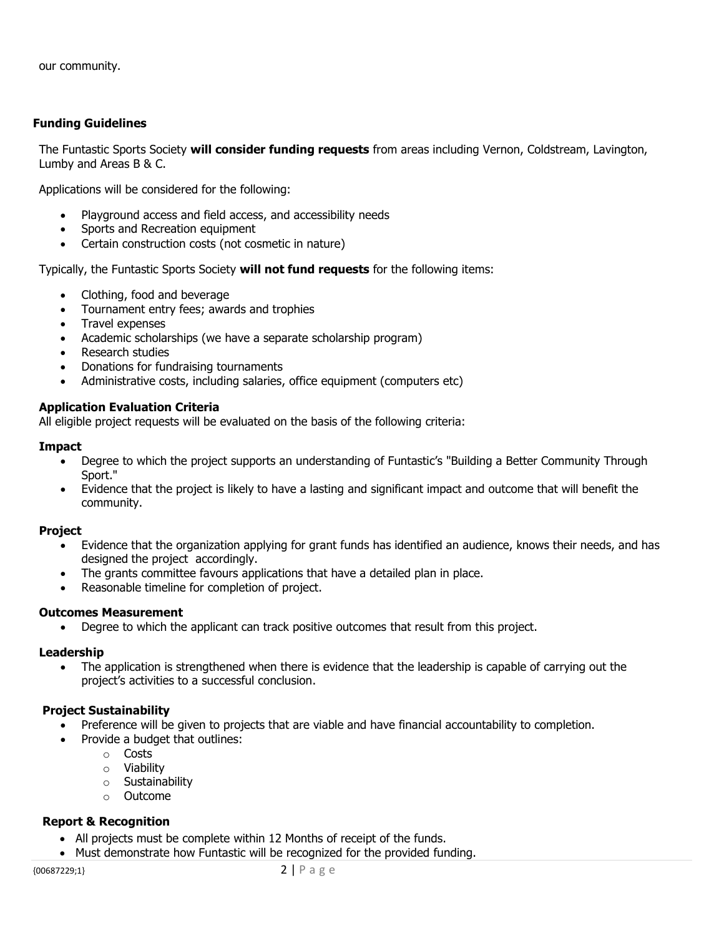our community.

#### **Funding Guidelines**

The Funtastic Sports Society **will consider funding requests** from areas including Vernon, Coldstream, Lavington, Lumby and Areas B & C.

Applications will be considered for the following:

- Playground access and field access, and accessibility needs
- Sports and Recreation equipment
- Certain construction costs (not cosmetic in nature)

Typically, the Funtastic Sports Society **will not fund requests** for the following items:

- Clothing, food and beverage
- Tournament entry fees; awards and trophies
- Travel expenses
- Academic scholarships (we have a separate scholarship program)
- Research studies
- Donations for fundraising tournaments
- Administrative costs, including salaries, office equipment (computers etc)

## **Application Evaluation Criteria**

All eligible project requests will be evaluated on the basis of the following criteria:

#### **Impact**

- Degree to which the project supports an understanding of Funtastic's "Building a Better Community Through Sport."
- Evidence that the project is likely to have a lasting and significant impact and outcome that will benefit the community.

#### **Project**

- Evidence that the organization applying for grant funds has identified an audience, knows their needs, and has designed the project accordingly.
- The grants committee favours applications that have a detailed plan in place.
- Reasonable timeline for completion of project.

#### **Outcomes Measurement**

• Degree to which the applicant can track positive outcomes that result from this project.

#### **Leadership**

• The application is strengthened when there is evidence that the leadership is capable of carrying out the project's activities to a successful conclusion.

# **Project Sustainability**

- Preference will be given to projects that are viable and have financial accountability to completion.
- Provide a budget that outlines:
	- o Costs
	- o Viability
	- o Sustainability
	- o Outcome

# **Report & Recognition**

- All projects must be complete within 12 Months of receipt of the funds.
- Must demonstrate how Funtastic will be recognized for the provided funding.